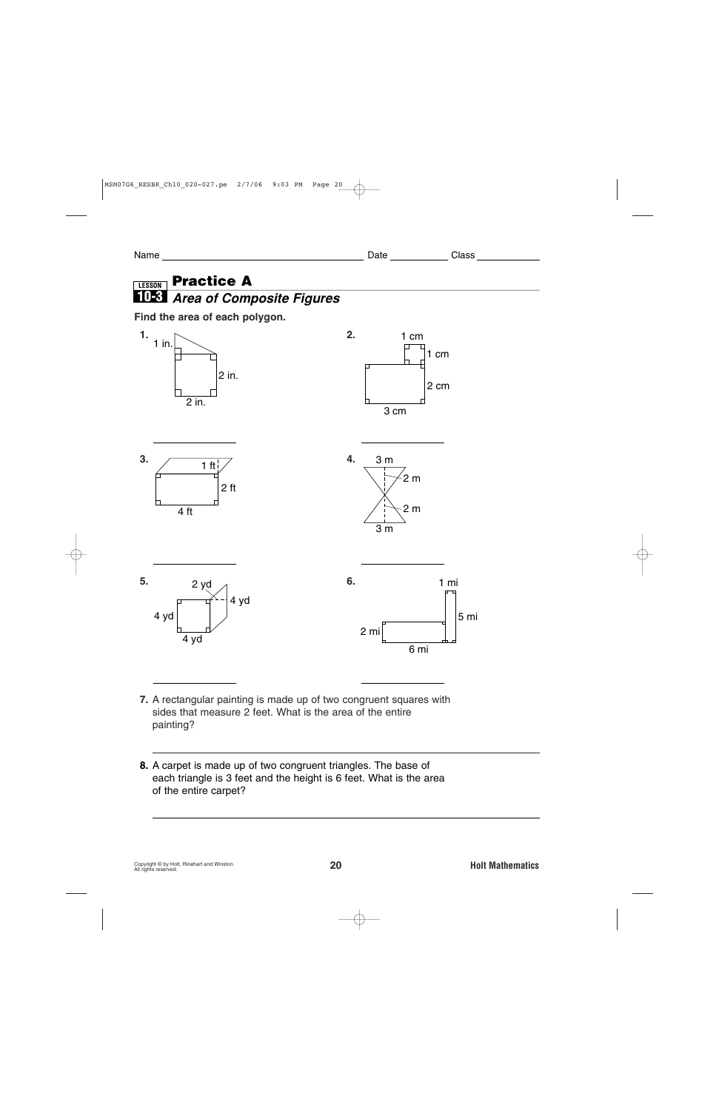Name Date Class

## **Practice A LESSON 10-3** *Area of Composite Figures*

## **Find the area of each polygon.**



**7.** A rectangular painting is made up of two congruent squares with sides that measure 2 feet. What is the area of the entire painting?

**8.** A carpet is made up of two congruent triangles. The base of each triangle is 3 feet and the height is 6 feet. What is the area of the entire carpet?

**8 ft2**

**18 ft2**